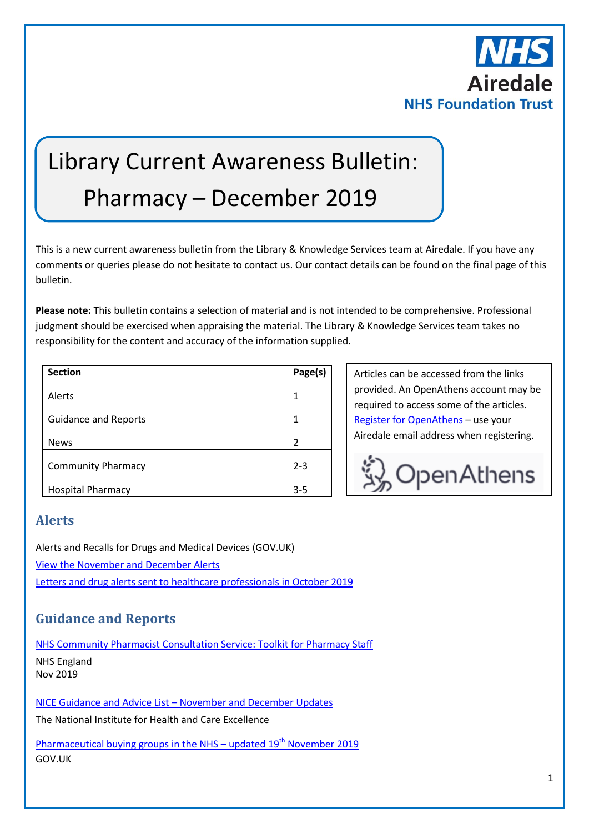

# Library Current Awareness Bulletin: Pharmacy – December 2019

This is a new current awareness bulletin from the Library & Knowledge Services team at Airedale. If you have any comments or queries please do not hesitate to contact us. Our contact details can be found on the final page of this bulletin.

**Please note:** This bulletin contains a selection of material and is not intended to be comprehensive. Professional judgment should be exercised when appraising the material. The Library & Knowledge Services team takes no responsibility for the content and accuracy of the information supplied.

| <b>Section</b>              | Page(s)       |
|-----------------------------|---------------|
|                             |               |
| Alerts                      | 1             |
|                             |               |
| <b>Guidance and Reports</b> | 1             |
|                             |               |
| <b>News</b>                 | $\mathcal{P}$ |
|                             |               |
| <b>Community Pharmacy</b>   | $2 - 3$       |
|                             |               |
| <b>Hospital Pharmacy</b>    | $3 - 5$       |

Articles can be accessed from the links provided. An OpenAthens account may be required to access some of the articles. [Register for OpenAthens](https://openathens.nice.org.uk/) – use your Airedale email address when registering.



## **Alerts**

Alerts and Recalls for Drugs and Medical Devices (GOV.UK) [View the November and December Alerts](https://www.gov.uk/drug-device-alerts?issued_date%5Bfrom%5D=01%2F11%2F2019&issued_date%5Bto%5D=01%2F01%2F2020) [Letters and drug alerts sent to healthcare professionals in October 2019](https://www.gov.uk/drug-safety-update/letters-and-drug-alerts-sent-to-healthcare-professionals-in-october-2019)

# **Guidance and Reports**

[NHS Community Pharmacist Consultation Service: Toolkit for Pharmacy Staff](https://www.england.nhs.uk/publication/nhs-community-pharmacist-consultation-service-toolkit-for-pharmacy-staff/) NHS England Nov 2019

NICE Guidance and Advice List – [November and December Updates](https://www.nice.org.uk/guidance/published?fromdate=November%202019&todate=December%202019)

The National Institute for Health and Care Excellence

[Pharmaceutical buying groups in the NHS](https://www.gov.uk/government/publications/pharmaceutical-buying-groups-in-the-nhs) – updated  $19<sup>th</sup>$  November 2019 GOV.UK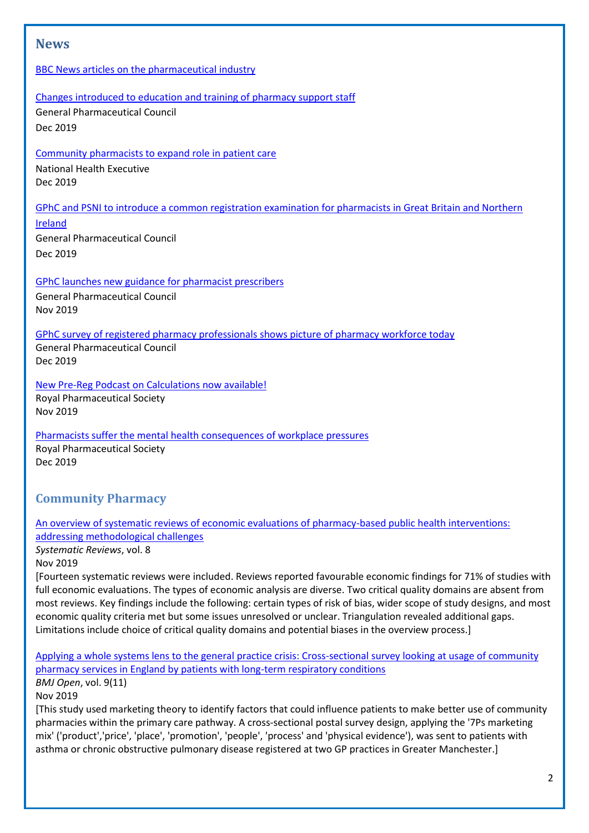## **News**

#### [BBC News articles on the pharmaceutical industry](https://www.bbc.co.uk/news/topics/cg1lkvgedv8t/pharmaceutical-industry)

#### [Changes introduced to education and training of pharmacy support staff](https://www.pharmacyregulation.org/news/changes-introduced-education-and-training-pharmacy-support-staff)

General Pharmaceutical Council Dec 2019

[Community pharmacists to expand role in patient care](http://www.nationalhealthexecutive.com/News/community-pharmacists-to-expand-role-in-patient-care-/241829)

National Health Executive Dec 2019

[GPhC and PSNI to introduce a common registration examination for pharmacists in Great Britain and Northern](https://www.pharmacyregulation.org/news/gphc-and-psni-introduce-common-registration-examination-pharmacists-great-britain-and-northern) 

[Ireland](https://www.pharmacyregulation.org/news/gphc-and-psni-introduce-common-registration-examination-pharmacists-great-britain-and-northern) General Pharmaceutical Council Dec 2019

[GPhC launches new guidance for pharmacist prescribers](https://www.pharmacyregulation.org/news/gphc-launches-new-guidance-pharmacist-prescribers)

General Pharmaceutical Council Nov 2019

[GPhC survey of registered pharmacy professionals shows picture of pharmacy workforce today](https://www.pharmacyregulation.org/news/gphc-survey-registered-pharmacy-professionals-shows-picture-pharmacy-workforce-today)

General Pharmaceutical Council Dec 2019

[New Pre-Reg Podcast on Calculations now available!](https://www.rpharms.com/about-us/news/details/new-pre-reg-podcast-on-calculations-now-available) Royal Pharmaceutical Society Nov 2019

[Pharmacists suffer the mental health consequences of workplace pressures](https://www.rpharms.com/about-us/news/details/pharmacists-suffer-the-mental-health-consequences-of-workplace-pressures) Royal Pharmaceutical Society Dec 2019

# **Community Pharmacy**

[An overview of systematic reviews of economic evaluations of pharmacy-based public health interventions:](https://systematicreviewsjournal.biomedcentral.com/articles/10.1186/s13643-019-1177-3)  [addressing methodological challenges](https://systematicreviewsjournal.biomedcentral.com/articles/10.1186/s13643-019-1177-3)

*Systematic Reviews*, vol. 8

Nov 2019

[Fourteen systematic reviews were included. Reviews reported favourable economic findings for 71% of studies with full economic evaluations. The types of economic analysis are diverse. Two critical quality domains are absent from most reviews. Key findings include the following: certain types of risk of bias, wider scope of study designs, and most economic quality criteria met but some issues unresolved or unclear. Triangulation revealed additional gaps. Limitations include choice of critical quality domains and potential biases in the overview process.]

[Applying a whole systems lens to the general practice crisis: Cross-sectional survey looking at usage of community](https://bmjopen.bmj.com/content/9/11/e032310)  [pharmacy services in England by patients with long-term respiratory conditions](https://bmjopen.bmj.com/content/9/11/e032310) *BMJ Open*, vol. 9(11)

Nov 2019

[This study used marketing theory to identify factors that could influence patients to make better use of community pharmacies within the primary care pathway. A cross-sectional postal survey design, applying the '7Ps marketing mix' ('product','price', 'place', 'promotion', 'people', 'process' and 'physical evidence'), was sent to patients with asthma or chronic obstructive pulmonary disease registered at two GP practices in Greater Manchester.]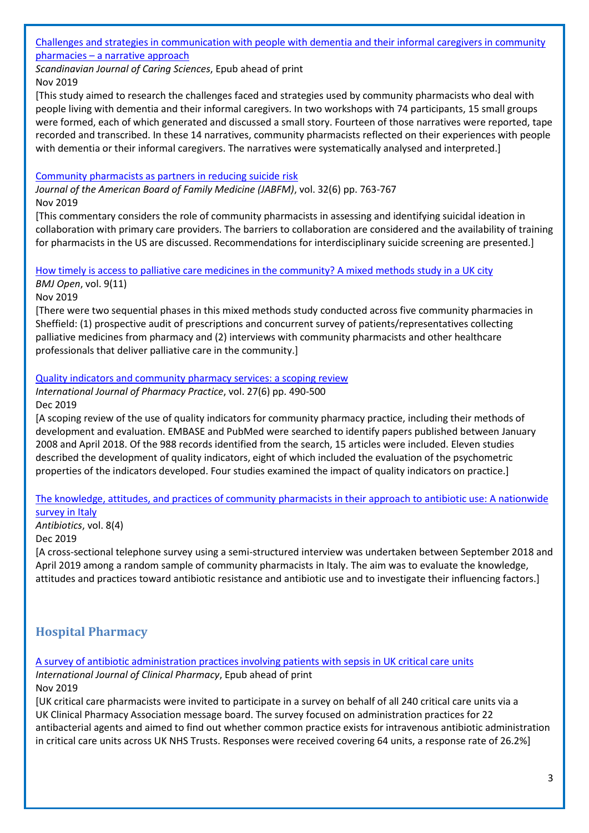#### [Challenges and strategies in communication with people with dementia and their informal caregivers in community](https://onlinelibrary.wiley.com/doi/pdfdirect/10.1111/scs.12789)  pharmacies – [a narrative approach](https://onlinelibrary.wiley.com/doi/pdfdirect/10.1111/scs.12789)

*Scandinavian Journal of Caring Sciences*, Epub ahead of print Nov 2019

[This study aimed to research the challenges faced and strategies used by community pharmacists who deal with people living with dementia and their informal caregivers. In two workshops with 74 participants, 15 small groups were formed, each of which generated and discussed a small story. Fourteen of those narratives were reported, tape recorded and transcribed. In these 14 narratives, community pharmacists reflected on their experiences with people with dementia or their informal caregivers. The narratives were systematically analysed and interpreted.]

#### [Community pharmacists as partners in reducing suicide](https://www.jabfm.org/content/32/6/763) risk

*Journal of the American Board of Family Medicine (JABFM)*, vol. 32(6) pp. 763-767 Nov 2019

[This commentary considers the role of community pharmacists in assessing and identifying suicidal ideation in collaboration with primary care providers. The barriers to collaboration are considered and the availability of training for pharmacists in the US are discussed. Recommendations for interdisciplinary suicide screening are presented.]

### [How timely is access to palliative care medicines in the community? A mixed methods study in a UK city](https://bmjopen.bmj.com/content/9/11/e029016) *BMJ Open*, vol. 9(11)

Nov 2019

[There were two sequential phases in this mixed methods study conducted across five community pharmacies in Sheffield: (1) prospective audit of prescriptions and concurrent survey of patients/representatives collecting palliative medicines from pharmacy and (2) interviews with community pharmacists and other healthcare professionals that deliver palliative care in the community.]

#### [Quality indicators and community pharmacy services: a scoping review](https://onlinelibrary.wiley.com/doi/pdfdirect/10.1111/ijpp.12561)

*International Journal of Pharmacy Practice*, vol. 27(6) pp. 490-500 Dec 2019

[A scoping review of the use of quality indicators for community pharmacy practice, including their methods of development and evaluation. EMBASE and PubMed were searched to identify papers published between January 2008 and April 2018. Of the 988 records identified from the search, 15 articles were included. Eleven studies described the development of quality indicators, eight of which included the evaluation of the psychometric properties of the indicators developed. Four studies examined the impact of quality indicators on practice.]

#### [The knowledge, attitudes, and practices of community pharmacists in their approach to antibiotic use: A nationwide](https://www.mdpi.com/2079-6382/8/4/177)  [survey in Italy](https://www.mdpi.com/2079-6382/8/4/177)

*Antibiotics*, vol. 8(4)

#### Dec 2019

[A cross-sectional telephone survey using a semi-structured interview was undertaken between September 2018 and April 2019 among a random sample of community pharmacists in Italy. The aim was to evaluate the knowledge, attitudes and practices toward antibiotic resistance and antibiotic use and to investigate their influencing factors.]

# **Hospital Pharmacy**

#### [A survey of antibiotic administration practices involving patients with sepsis in UK critical care units](https://link.springer.com/content/pdf/10.1007%2Fs11096-019-00938-9.pdf)

*International Journal of Clinical Pharmacy*, Epub ahead of print Nov 2019

[UK critical care pharmacists were invited to participate in a survey on behalf of all 240 critical care units via a UK Clinical Pharmacy Association message board. The survey focused on administration practices for 22 antibacterial agents and aimed to find out whether common practice exists for intravenous antibiotic administration in critical care units across UK NHS Trusts. Responses were received covering 64 units, a response rate of 26.2%]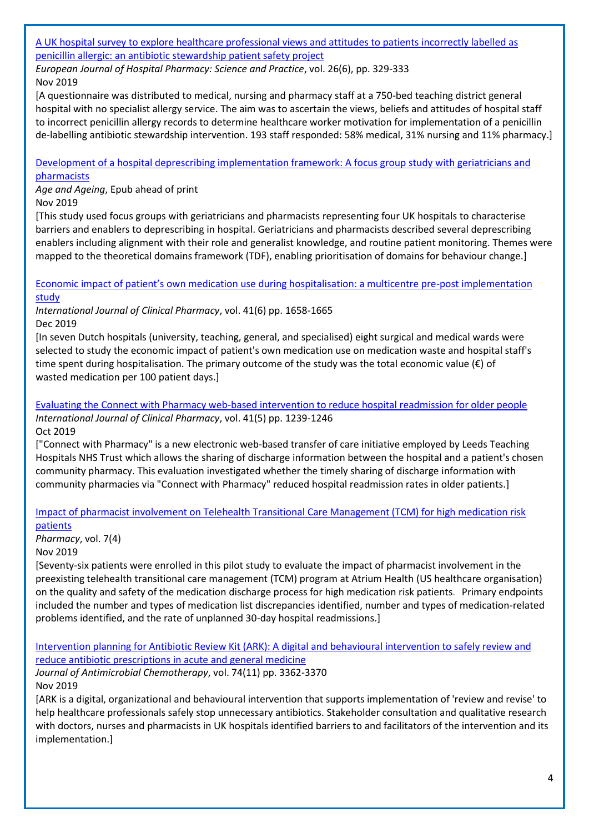#### [A UK hospital survey to explore healthcare professional views and attitudes to patients incorrectly labelled as](http://eprints.whiterose.ac.uk/131448/3/Exploring%20penicillin%20allergy%20attitudes-final.pdf)  [penicillin allergic: an antibiotic stewardship patient safety project](http://eprints.whiterose.ac.uk/131448/3/Exploring%20penicillin%20allergy%20attitudes-final.pdf)

*European Journal of Hospital Pharmacy: Science and Practice*, vol. 26(6), pp. 329-333 Nov 2019

[A questionnaire was distributed to medical, nursing and pharmacy staff at a 750-bed teaching district general hospital with no specialist allergy service. The aim was to ascertain the views, beliefs and attitudes of hospital staff to incorrect penicillin allergy records to determine healthcare worker motivation for implementation of a penicillin de-labelling antibiotic stewardship intervention. 193 staff responded: 58% medical, 31% nursing and 11% pharmacy.]

#### [Development of a hospital deprescribing implementation framework: A focus group study with geriatricians and](https://ueaeprints.uea.ac.uk/id/eprint/72179/)  [pharmacists](https://ueaeprints.uea.ac.uk/id/eprint/72179/)

*Age and Ageing*, Epub ahead of print Nov 2019

[This study used focus groups with geriatricians and pharmacists representing four UK hospitals to characterise barriers and enablers to deprescribing in hospital. Geriatricians and pharmacists described several deprescribing enablers including alignment with their role and generalist knowledge, and routine patient monitoring. Themes were mapped to the theoretical domains framework (TDF), enabling prioritisation of domains for behaviour change.]

Economic [impact of patient's own medication use during hospitalisation: a multicentre pre](https://link.springer.com/content/pdf/10.1007%2Fs11096-019-00932-1.pdf)-post implementation [study](https://link.springer.com/content/pdf/10.1007%2Fs11096-019-00932-1.pdf)

*International Journal of Clinical Pharmacy*, vol. 41(6) pp. 1658-1665 Dec 2019

[In seven Dutch hospitals (university, teaching, general, and specialised) eight surgical and medical wards were selected to study the economic impact of patient's own medication use on medication waste and hospital staff's time spent during hospitalisation. The primary outcome of the study was the total economic value (€) of wasted medication per 100 patient days.]

[Evaluating the Connect with Pharmacy web-based intervention to reduce hospital readmission for older people](https://link.springer.com/content/pdf/10.1007%2Fs11096-019-00887-3.pdf) *International Journal of Clinical Pharmacy*, vol. 41(5) pp. 1239-1246 Oct 2019

["Connect with Pharmacy" is a new electronic web-based transfer of care initiative employed by Leeds Teaching Hospitals NHS Trust which allows the sharing of discharge information between the hospital and a patient's chosen community pharmacy. This evaluation investigated whether the timely sharing of discharge information with community pharmacies via "Connect with Pharmacy" reduced hospital readmission rates in older patients.]

## [Impact of pharmacist involvement on Telehealth Transitional Care Management \(TCM\) for high medication risk](https://www.mdpi.com/2226-4787/7/4/158)  [patients](https://www.mdpi.com/2226-4787/7/4/158)

*Pharmacy*, vol. 7(4)

Nov 2019

[Seventy-six patients were enrolled in this pilot study to evaluate the impact of pharmacist involvement in the preexisting telehealth transitional care management (TCM) program at Atrium Health (US healthcare organisation) on the quality and safety of the medication discharge process for high medication risk patients. Primary endpoints included the number and types of medication list discrepancies identified, number and types of medication-related problems identified, and the rate of unplanned 30-day hospital readmissions.]

[Intervention planning for Antibiotic Review Kit \(ARK\): A digital and behavioural intervention to safely review and](https://www.ncbi.nlm.nih.gov/pmc/articles/PMC6798845/)  [reduce antibiotic prescriptions in acute and general medicine](https://www.ncbi.nlm.nih.gov/pmc/articles/PMC6798845/)

*Journal of Antimicrobial Chemotherapy*, vol. 74(11) pp. 3362-3370 Nov 2019

[ARK is a digital, organizational and behavioural intervention that supports implementation of 'review and revise' to help healthcare professionals safely stop unnecessary antibiotics. Stakeholder consultation and qualitative research with doctors, nurses and pharmacists in UK hospitals identified barriers to and facilitators of the intervention and its implementation.]